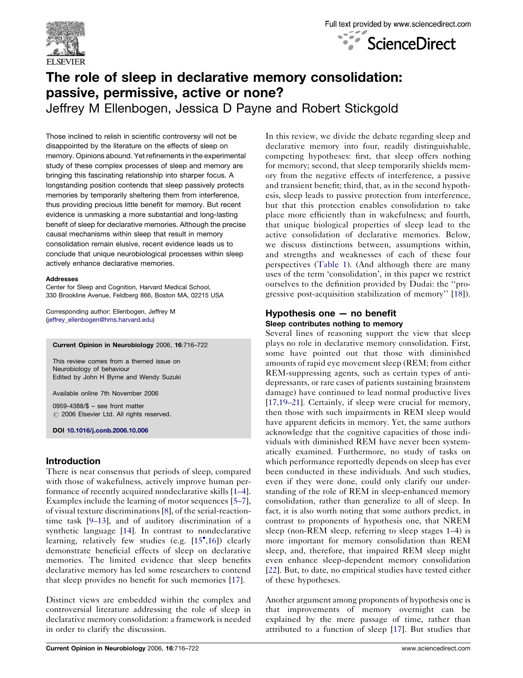





# The role of sleep in declarative memory consolidation: passive, permissive, active or none?

Jeffrey M Ellenbogen, Jessica D Payne and Robert Stickgold

Those inclined to relish in scientific controversy will not be disappointed by the literature on the effects of sleep on memory. Opinions abound. Yet refinements in the experimental study of these complex processes of sleep and memory are bringing this fascinating relationship into sharper focus. A longstanding position contends that sleep passively protects memories by temporarily sheltering them from interference, thus providing precious little benefit for memory. But recent evidence is unmasking a more substantial and long-lasting benefit of sleep for declarative memories. Although the precise causal mechanisms within sleep that result in memory consolidation remain elusive, recent evidence leads us to conclude that unique neurobiological processes within sleep actively enhance declarative memories.

#### Addresses

Center for Sleep and Cognition, Harvard Medical School, 330 Brookline Avenue, Feldberg 866, Boston MA, 02215 USA

Corresponding author: Ellenbogen, Jeffrey M ([jeffrey\\_ellenbogen@hms.harvard.edu](mailto:jeffrey_ellenbogen@hms.harvard.edu))

#### Current Opinion in Neurobiology 2006, 16:716–722

This review comes from a themed issue on Neurobiology of behaviour Edited by John H Byrne and Wendy Suzuki

Available online 7th November 2006

0959-4388/\$ – see front matter  $\oslash$  2006 Elsevier Ltd. All rights reserved.

DOI [10.1016/j.conb.2006.10.006](http://dx.doi.org/10.1016/j.conb.2006.10.006)

# Introduction

There is near consensus that periods of sleep, compared with those of wakefulness, actively improve human performance of recently acquired nondeclarative skills [\[1–4](#page-4-0)]. Examples include the learning of motor sequences [\[5–7](#page-5-0)], of visual texture discriminations [[8\]](#page-5-0), of the serial-reactiontime task [\[9–13](#page-5-0)], and of auditory discrimination of a synthetic language [\[14](#page-5-0)]. In contrast to nondeclarative learning, relatively few studies (e.g. [\[15](#page-5-0)°[,16\]](#page-5-0)) clearly demonstrate beneficial effects of sleep on declarative memories. The limited evidence that sleep benefits declarative memory has led some researchers to contend that sleep provides no benefit for such memories [\[17](#page-5-0)].

Distinct views are embedded within the complex and controversial literature addressing the role of sleep in declarative memory consolidation: a framework is needed in order to clarify the discussion.

Current Opinion in Neurobiology 2006, 16:716–722 www.sciencedirect.com

In this review, we divide the debate regarding sleep and declarative memory into four, readily distinguishable, competing hypotheses: first, that sleep offers nothing for memory; second, that sleep temporarily shields memory from the negative effects of interference, a passive and transient benefit; third, that, as in the second hypothesis, sleep leads to passive protection from interference, but that this protection enables consolidation to take place more efficiently than in wakefulness; and fourth, that unique biological properties of sleep lead to the active consolidation of declarative memories. Below, we discuss distinctions between, assumptions within, and strengths and weaknesses of each of these four perspectives ([Table 1\)](#page-1-0). (And although there are many uses of the term 'consolidation', in this paper we restrict ourselves to the definition provided by Dudai: the ''progressive post-acquisition stabilization of memory'' [[18\]](#page-5-0)).

# Hypothesis one — no benefit Sleep contributes nothing to memory

Several lines of reasoning support the view that sleep plays no role in declarative memory consolidation. First, some have pointed out that those with diminished amounts of rapid eye movement sleep (REM; from either REM-suppressing agents, such as certain types of antidepressants, or rare cases of patients sustaining brainstem damage) have continued to lead normal productive lives [\[17,19–21\]](#page-5-0). Certainly, if sleep were crucial for memory, then those with such impairments in REM sleep would have apparent deficits in memory. Yet, the same authors acknowledge that the cognitive capacities of those individuals with diminished REM have never been systematically examined. Furthermore, no study of tasks on which performance reportedly depends on sleep has ever been conducted in these individuals. And such studies, even if they were done, could only clarify our understanding of the role of REM in sleep-enhanced memory consolidation, rather than generalize to all of sleep. In fact, it is also worth noting that some authors predict, in contrast to proponents of hypothesis one, that NREM sleep (non-REM sleep, referring to sleep stages 1–4) is more important for memory consolidation than REM sleep, and, therefore, that impaired REM sleep might even enhance sleep-dependent memory consolidation [\[22](#page-5-0)]. But, to date, no empirical studies have tested either of these hypotheses.

Another argument among proponents of hypothesis one is that improvements of memory overnight can be explained by the mere passage of time, rather than attributed to a function of sleep [[17\]](#page-5-0). But studies that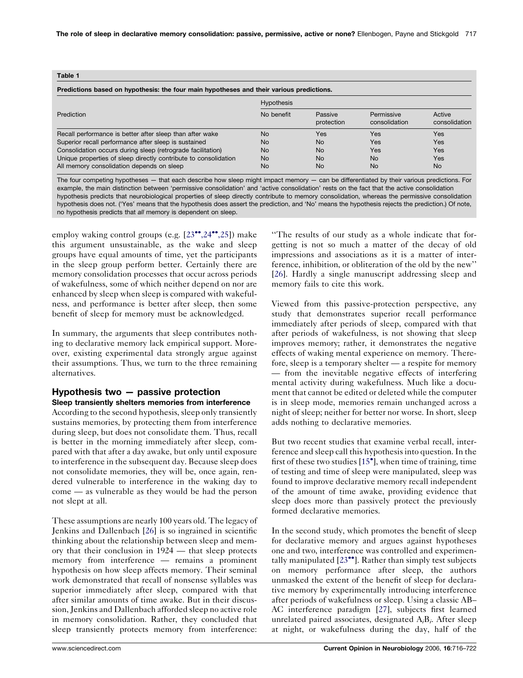<span id="page-1-0"></span>

| Table 1<br>Predictions based on hypothesis: the four main hypotheses and their various predictions. |            |                       |                             |                         |
|-----------------------------------------------------------------------------------------------------|------------|-----------------------|-----------------------------|-------------------------|
|                                                                                                     |            |                       |                             |                         |
| Prediction                                                                                          | No benefit | Passive<br>protection | Permissive<br>consolidation | Active<br>consolidation |
| Recall performance is better after sleep than after wake                                            | No.        | Yes                   | Yes                         | <b>Yes</b>              |
| Superior recall performance after sleep is sustained                                                | <b>No</b>  | N <sub>o</sub>        | Yes                         | Yes                     |
| Consolidation occurs during sleep (retrograde facilitation)                                         | <b>No</b>  | <b>No</b>             | Yes                         | <b>Yes</b>              |
| Unique properties of sleep directly contribute to consolidation                                     | <b>No</b>  | N <sub>o</sub>        | No                          | <b>Yes</b>              |
| All memory consolidation depends on sleep                                                           | No.        | <b>No</b>             | No                          | <b>No</b>               |

The four competing hypotheses — that each describe how sleep might impact memory — can be differentiated by their various predictions. For example, the main distinction between 'permissive consolidation' and 'active consolidation' rests on the fact that the active consolidation hypothesis predicts that neurobiological properties of sleep directly contribute to memory consolidation, whereas the permissive consolidation hypothesis does not. ('Yes' means that the hypothesis does assert the prediction, and 'No' means the hypothesis rejects the prediction.) Of note, no hypothesis predicts that all memory is dependent on sleep.

employ waking control groups (e.g. [\[23](#page-5-0)\*[,24](#page-5-0)\*[,25](#page-5-0)]) make this argument unsustainable, as the wake and sleep groups have equal amounts of time, yet the participants in the sleep group perform better. Certainly there are memory consolidation processes that occur across periods of wakefulness, some of which neither depend on nor are enhanced by sleep when sleep is compared with wakefulness, and performance is better after sleep, then some benefit of sleep for memory must be acknowledged.

In summary, the arguments that sleep contributes nothing to declarative memory lack empirical support. Moreover, existing experimental data strongly argue against their assumptions. Thus, we turn to the three remaining alternatives.

#### Hypothesis two — passive protection Sleep transiently shelters memories from interference

According to the second hypothesis, sleep only transiently sustains memories, by protecting them from interference during sleep, but does not consolidate them. Thus, recall is better in the morning immediately after sleep, compared with that after a day awake, but only until exposure to interference in the subsequent day. Because sleep does not consolidate memories, they will be, once again, rendered vulnerable to interference in the waking day to come — as vulnerable as they would be had the person not slept at all.

These assumptions are nearly 100 years old. The legacy of Jenkins and Dallenbach [\[26](#page-5-0)] is so ingrained in scientific thinking about the relationship between sleep and memory that their conclusion in 1924 — that sleep protects memory from interference — remains a prominent hypothesis on how sleep affects memory. Their seminal work demonstrated that recall of nonsense syllables was superior immediately after sleep, compared with that after similar amounts of time awake. But in their discussion, Jenkins and Dallenbach afforded sleep no active role in memory consolidation. Rather, they concluded that sleep transiently protects memory from interference:

''The results of our study as a whole indicate that forgetting is not so much a matter of the decay of old impressions and associations as it is a matter of interference, inhibition, or obliteration of the old by the new'' [[26](#page-5-0)]. Hardly a single manuscript addressing sleep and memory fails to cite this work.

Viewed from this passive-protection perspective, any study that demonstrates superior recall performance immediately after periods of sleep, compared with that after periods of wakefulness, is not showing that sleep improves memory; rather, it demonstrates the negative effects of waking mental experience on memory. Therefore, sleep is a temporary shelter — a respite for memory — from the inevitable negative effects of interfering mental activity during wakefulness. Much like a document that cannot be edited or deleted while the computer is in sleep mode, memories remain unchanged across a night of sleep; neither for better nor worse. In short, sleep adds nothing to declarative memories.

But two recent studies that examine verbal recall, interference and sleep call this hypothesis into question. In the first of these two studies [[15](#page-5-0)<sup>°</sup>], when time of training, time of testing and time of sleep were manipulated, sleep was found to improve declarative memory recall independent of the amount of time awake, providing evidence that sleep does more than passively protect the previously formed declarative memories.

In the second study, which promotes the benefit of sleep for declarative memory and argues against hypotheses one and two, interference was controlled and experimen-tally manipulated [[23](#page-5-0)<sup>\*</sup>]. Rather than simply test subjects on memory performance after sleep, the authors unmasked the extent of the benefit of sleep for declarative memory by experimentally introducing interference after periods of wakefulness or sleep. Using a classic AB– AC interference paradigm [[27](#page-5-0)], subjects first learned unrelated paired associates, designated  $A_iB_i$ . After sleep at night, or wakefulness during the day, half of the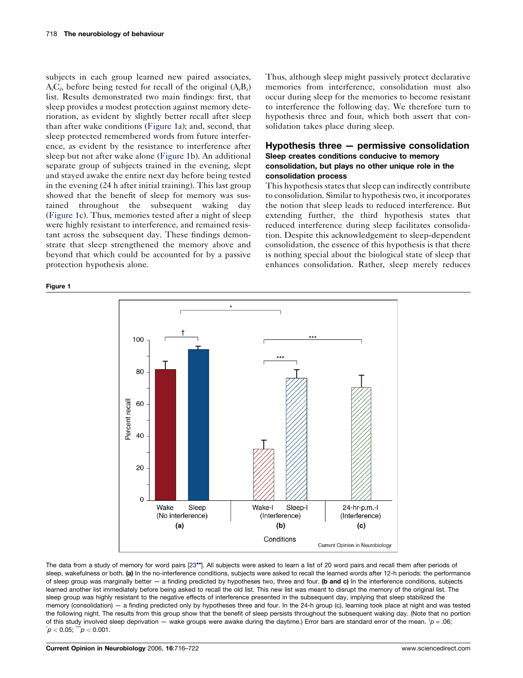subjects in each group learned new paired associates,  $A_iC_i$ , before being tested for recall of the original  $(A_iB_i)$ list. Results demonstrated two main findings: first, that sleep provides a modest protection against memory deterioration, as evident by slightly better recall after sleep than after wake conditions (Figure 1a); and, second, that sleep protected remembered words from future interference, as evident by the resistance to interference after sleep but not after wake alone (Figure 1b). An additional separate group of subjects trained in the evening, slept and stayed awake the entire next day before being tested in the evening (24 h after initial training). This last group showed that the benefit of sleep for memory was sustained throughout the subsequent waking day (Figure 1c). Thus, memories tested after a night of sleep were highly resistant to interference, and remained resistant across the subsequent day. These findings demonstrate that sleep strengthened the memory above and beyond that which could be accounted for by a passive protection hypothesis alone.

Figure 1

Thus, although sleep might passively protect declarative memories from interference, consolidation must also occur during sleep for the memories to become resistant to interference the following day. We therefore turn to hypothesis three and four, which both assert that consolidation takes place during sleep.

#### Hypothesis three — permissive consolidation Sleep creates conditions conducive to memory consolidation, but plays no other unique role in the consolidation process

This hypothesis states that sleep can indirectly contribute to consolidation. Similar to hypothesis two, it incorporates the notion that sleep leads to reduced interference. But extending further, the third hypothesis states that reduced interference during sleep facilitates consolidation. Despite this acknowledgement to sleep-dependent consolidation, the essence of this hypothesis is that there is nothing special about the biological state of sleep that enhances consolidation. Rather, sleep merely reduces



The data from a study of memory for word pairs [[23](#page-5-0)\*\*]. All subjects were asked to learn a list of 20 word pairs and recall them after periods of sleep, wakefulness or both. (a) In the no-interference conditions, subjects were asked to recall the learned words after 12-h periods: the performance of sleep group was marginally better - a finding predicted by hypotheses two, three and four. (b and c) In the interference conditions, subjects learned another list immediately before being asked to recall the old list. This new list was meant to disrupt the memory of the original list. The sleep group was highly resistant to the negative effects of interference presented in the subsequent day, implying that sleep stabilized the memory (consolidation) — a finding predicted only by hypotheses three and four. In the 24-h group (c), learning took place at night and was tested the following night. The results from this group show that the benefit of sleep persists throughout the subsequent waking day. (Note that no portion of this study involved sleep deprivation — wake groups were awake during the daytime.) Error bars are standard error of the mean.  $\dot{p}$  = .06;  $\dot{\rho} <$  0.05;  $\ddot{\quad} \dot{\rho} <$  0.001.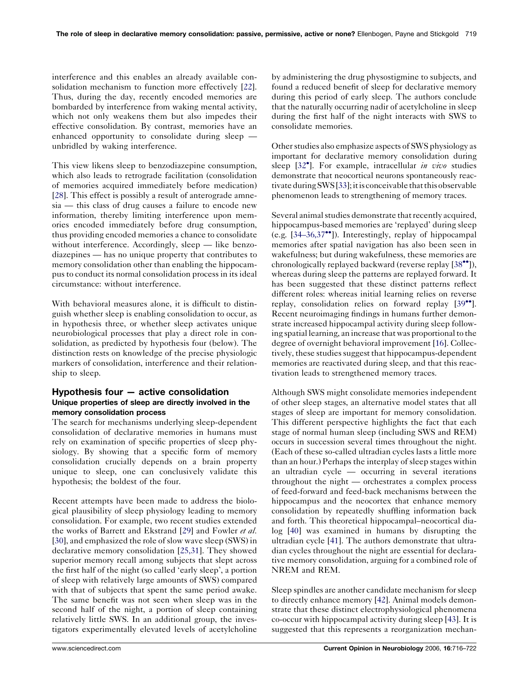interference and this enables an already available consolidation mechanism to function more effectively [\[22](#page-5-0)]. Thus, during the day, recently encoded memories are bombarded by interference from waking mental activity, which not only weakens them but also impedes their effective consolidation. By contrast, memories have an enhanced opportunity to consolidate during sleep unbridled by waking interference.

This view likens sleep to benzodiazepine consumption, which also leads to retrograde facilitation (consolidation of memories acquired immediately before medication) [\[28](#page-5-0)]. This effect is possibly a result of anterograde amnesia — this class of drug causes a failure to encode new information, thereby limiting interference upon memories encoded immediately before drug consumption, thus providing encoded memories a chance to consolidate without interference. Accordingly, sleep — like benzodiazepines — has no unique property that contributes to memory consolidation other than enabling the hippocampus to conduct its normal consolidation process in its ideal circumstance: without interference.

With behavioral measures alone, it is difficult to distinguish whether sleep is enabling consolidation to occur, as in hypothesis three, or whether sleep activates unique neurobiological processes that play a direct role in consolidation, as predicted by hypothesis four (below). The distinction rests on knowledge of the precise physiologic markers of consolidation, interference and their relationship to sleep.

#### Hypothesis four — active consolidation Unique properties of sleep are directly involved in the memory consolidation process

The search for mechanisms underlying sleep-dependent consolidation of declarative memories in humans must rely on examination of specific properties of sleep physiology. By showing that a specific form of memory consolidation crucially depends on a brain property unique to sleep, one can conclusively validate this hypothesis; the boldest of the four.

Recent attempts have been made to address the biological plausibility of sleep physiology leading to memory consolidation. For example, two recent studies extended the works of Barrett and Ekstrand [[29\]](#page-5-0) and Fowler *et al.* [\[30](#page-5-0)], and emphasized the role of slow wave sleep (SWS) in declarative memory consolidation [\[25,31\]](#page-5-0). They showed superior memory recall among subjects that slept across the first half of the night (so called 'early sleep', a portion of sleep with relatively large amounts of SWS) compared with that of subjects that spent the same period awake. The same benefit was not seen when sleep was in the second half of the night, a portion of sleep containing relatively little SWS. In an additional group, the investigators experimentally elevated levels of acetylcholine by administering the drug physostigmine to subjects, and found a reduced benefit of sleep for declarative memory during this period of early sleep. The authors conclude that the naturally occurring nadir of acetylcholine in sleep during the first half of the night interacts with SWS to consolidate memories.

Other studies also emphasize aspects of SWS physiology as important for declarative memory consolidation during sleep [[32](#page-5-0)°]. For example, intracellular in vivo studies demonstrate that neocortical neurons spontaneously reac-tivate during SWS [[33](#page-5-0)]; it is conceivable that this observable phenomenon leads to strengthening of memory traces.

Several animal studies demonstrate that recently acquired, hippocampus-based memories are 'replayed' during sleep (e.g. [[34–36,37](#page-5-0)--]). Interestingly, replay of hippocampal memories after spatial navigation has also been seen in wakefulness; but during wakefulness, these memories are chronologically replayed backward (reverse replay [[38](#page-5-0)<sup>\*\*</sup>]), whereas during sleep the patterns are replayed forward. It has been suggested that these distinct patterns reflect different roles: whereas initial learning relies on reverse replay, consolidation relies on forward replay [\[39](#page-5-0)\*']. Recent neuroimaging findings in humans further demonstrate increased hippocampal activity during sleep following spatial learning, an increase that was proportional to the degree of overnight behavioral improvement [\[16](#page-5-0)]. Collectively, these studies suggest that hippocampus-dependent memories are reactivated during sleep, and that this reactivation leads to strengthened memory traces.

Although SWS might consolidate memories independent of other sleep stages, an alternative model states that all stages of sleep are important for memory consolidation. This different perspective highlights the fact that each stage of normal human sleep (including SWS and REM) occurs in succession several times throughout the night. (Each of these so-called ultradian cycles lasts a little more than an hour.) Perhaps the interplay of sleep stages within an ultradian cycle — occurring in several iterations throughout the night — orchestrates a complex process of feed-forward and feed-back mechanisms between the hippocampus and the neocortex that enhance memory consolidation by repeatedly shuffling information back and forth. This theoretical hippocampal–neocortical dialog [[40\]](#page-6-0) was examined in humans by disrupting the ultradian cycle [[41\]](#page-6-0). The authors demonstrate that ultradian cycles throughout the night are essential for declarative memory consolidation, arguing for a combined role of NREM and REM.

Sleep spindles are another candidate mechanism for sleep to directly enhance memory [[42\]](#page-6-0). Animal models demonstrate that these distinct electrophysiological phenomena co-occur with hippocampal activity during sleep [\[43](#page-6-0)]. It is suggested that this represents a reorganization mechan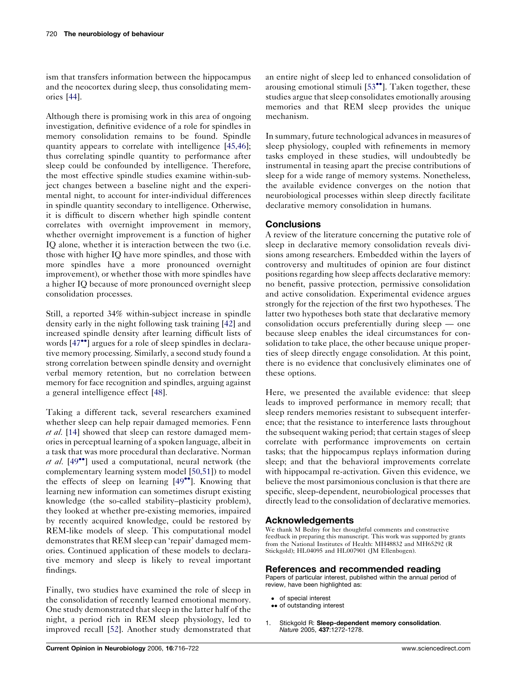<span id="page-4-0"></span>ism that transfers information between the hippocampus and the neocortex during sleep, thus consolidating memories [\[44](#page-6-0)].

Although there is promising work in this area of ongoing investigation, definitive evidence of a role for spindles in memory consolidation remains to be found. Spindle quantity appears to correlate with intelligence [[45,46](#page-6-0)]; thus correlating spindle quantity to performance after sleep could be confounded by intelligence. Therefore, the most effective spindle studies examine within-subject changes between a baseline night and the experimental night, to account for inter-individual differences in spindle quantity secondary to intelligence. Otherwise, it is difficult to discern whether high spindle content correlates with overnight improvement in memory, whether overnight improvement is a function of higher IQ alone, whether it is interaction between the two (i.e. those with higher IQ have more spindles, and those with more spindles have a more pronounced overnight improvement), or whether those with more spindles have a higher IQ because of more pronounced overnight sleep consolidation processes.

Still, a reported 34% within-subject increase in spindle density early in the night following task training [[42\]](#page-6-0) and increased spindle density after learning difficult lists of words [[47](#page-6-0)\*\*] argues for a role of sleep spindles in declarative memory processing. Similarly, a second study found a strong correlation between spindle density and overnight verbal memory retention, but no correlation between memory for face recognition and spindles, arguing against a general intelligence effect [\[48](#page-6-0)].

Taking a different tack, several researchers examined whether sleep can help repair damaged memories. Fenn et al. [\[14](#page-5-0)] showed that sleep can restore damaged memories in perceptual learning of a spoken language, albeit in a task that was more procedural than declarative. Norman et al. [\[49](#page-6-0)<sup>••</sup>] used a computational, neural network (the complementary learning system model [[50,51](#page-6-0)]) to model the effects of sleep on learning [[49](#page-6-0)<sup>••</sup>]. Knowing that learning new information can sometimes disrupt existing knowledge (the so-called stability–plasticity problem), they looked at whether pre-existing memories, impaired by recently acquired knowledge, could be restored by REM-like models of sleep. This computational model demonstrates that REM sleep can 'repair' damaged memories. Continued application of these models to declarative memory and sleep is likely to reveal important findings.

Finally, two studies have examined the role of sleep in the consolidation of recently learned emotional memory. One study demonstrated that sleep in the latter half of the night, a period rich in REM sleep physiology, led to improved recall [\[52](#page-6-0)]. Another study demonstrated that an entire night of sleep led to enhanced consolidation of arousing emotional stimuli [\[53](#page-6-0)\*\*]. Taken together, these studies argue that sleep consolidates emotionally arousing memories and that REM sleep provides the unique mechanism.

In summary, future technological advances in measures of sleep physiology, coupled with refinements in memory tasks employed in these studies, will undoubtedly be instrumental in teasing apart the precise contributions of sleep for a wide range of memory systems. Nonetheless, the available evidence converges on the notion that neurobiological processes within sleep directly facilitate declarative memory consolidation in humans.

## **Conclusions**

A review of the literature concerning the putative role of sleep in declarative memory consolidation reveals divisions among researchers. Embedded within the layers of controversy and multitudes of opinion are four distinct positions regarding how sleep affects declarative memory: no benefit, passive protection, permissive consolidation and active consolidation. Experimental evidence argues strongly for the rejection of the first two hypotheses. The latter two hypotheses both state that declarative memory consolidation occurs preferentially during sleep — one because sleep enables the ideal circumstances for consolidation to take place, the other because unique properties of sleep directly engage consolidation. At this point, there is no evidence that conclusively eliminates one of these options.

Here, we presented the available evidence: that sleep leads to improved performance in memory recall; that sleep renders memories resistant to subsequent interference; that the resistance to interference lasts throughout the subsequent waking period; that certain stages of sleep correlate with performance improvements on certain tasks; that the hippocampus replays information during sleep; and that the behavioral improvements correlate with hippocampal re-activation. Given this evidence, we believe the most parsimonious conclusion is that there are specific, sleep-dependent, neurobiological processes that directly lead to the consolidation of declarative memories.

### Acknowledgements

We thank M Bedny for her thoughtful comments and constructive feedback in preparing this manuscript. This work was supported by grants from the National Institutes of Health: MH48832 and MH65292 (R Stickgold); HL04095 and HL007901 (JM Ellenbogen).

#### References and recommended reading

Papers of particular interest, published within the annual period of review, have been highlighted as:

- of special interest
- •• of outstanding interest
- 1. Stickgold R: Sleep-dependent memory consolidation. Nature 2005, 437:1272-1278.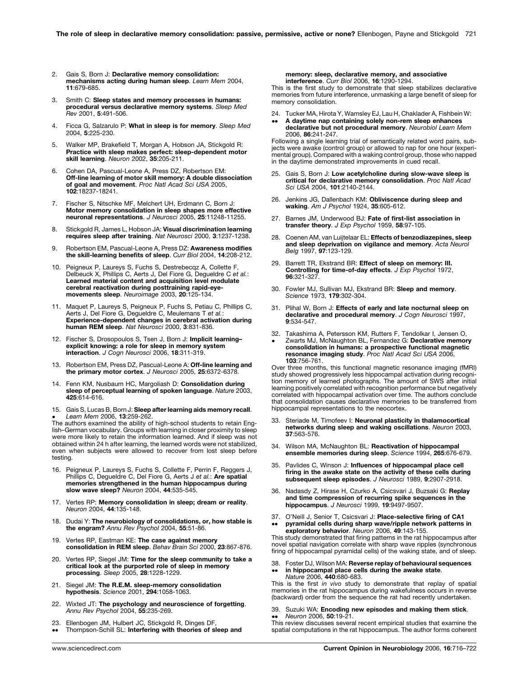- <span id="page-5-0"></span>Gais S, Born J: Declarative memory consolidation: mechanisms acting during human sleep. Learn Mem 2004, 11:679-685.
- 3. Smith C: Sleep states and memory processes in humans: procedural versus declarative memory systems. Sleep Med Rev 2001, 5:491-506.
- Ficca G, Salzarulo P: What in sleep is for memory. Sleep Med 2004, 5:225-230.
- 5. Walker MP, Brakefield T, Morgan A, Hobson JA, Stickgold R: Practice with sleep makes perfect: sleep-dependent motor<br>skill learning. Neuron 2002, 35:205-211.
- 6. Cohen DA, Pascual-Leone A, Press DZ, Robertson EM: Off-line learning of motor skill memory: A double dissociation of goal and movement. Proc Natl Acad Sci USA 2005, 102:18237-18241.
- 7. Fischer S, Nitschke MF, Melchert UH, Erdmann C, Born J: Motor memory consolidation in sleep shapes more effective neuronal representations. J Neurosci 2005, 25:11248-11255.
- 8. Stickgold R, James L, Hobson JA: Visual discrimination learning requires sleep after training. Nat Neurosci 2000, 3:1237-1238.
- 9. Robertson EM, Pascual-Leone A, Press DZ: Awareness modifies the skill-learning benefits of sleep. Curr Biol 2004, 14:208-212.
- 10. Peigneux P, Laureys S, Fuchs S, Destrebecqz A, Collette F, Delbeuck X, Phillips C, Aerts J, Del Fiore G, Degueldre C *et al.*:<br>**Learned material content and acquisition level modulate** cerebral reactivation during posttraining rapid-eyemovements sleep. Neuroimage 2003, 20:125-134.
- 11. Maquet P, Laureys S, Peigneux P, Fuchs S, Petiau C, Phillips C, Aerts J, Del Fiore G, Degueldre C, Meulemans T et al.: Experience-dependent changes in cerebral activation during human REM sleep. Nat Neurosci 2000, 3:831-836.
- 12. Fischer S, Drosopoulos S, Tsen J, Born J: Implicit learningexplicit knowing: a role for sleep in memory system interaction. J Coan Neurosci 2006, 18:311-319.
- 13. Robertson EM, Press DZ, Pascual-Leone A: Off-line learning and the primary motor cortex. J Neurosci 2005, 25:6372-6378.
- 14. Fenn KM, Nusbaum HC, Margoliash D: Consolidation during sleep of perceptual learning of spoken language. Nature 2003, 425:614-616.
- 15. Gais S, Lucas B, Born J: Sleep after learning aids memory recall. Learn Mem 2006, **13**:259-262.

-The authors examined the ability of high-school students to retain English–German vocabulary. Groups with learning in closer proximity to sleep were more likely to retain the information learned. And if sleep was not obtained within 24 h after learning, the learned words were not stabilized, even when subjects were allowed to recover from lost sleep before testing.

- Peigneux P, Laureys S, Fuchs S, Collette F, Perrin F, Reggers J, Phillips C, Degueldre C, Del Fiore G, Aerts J et al.: Are spatial memories strengthened in the human hippocampus during slow wave sleep? Neuron 2004, 44:535-545.
- 17. Vertes RP: Memory consolidation in sleep; dream or reality. Neuron 2004, 44:135-148.
- 18. Dudai Y: The neurobiology of consolidations, or, how stable is the engram? Annu Rev Psychol 2004, 55:51-86.
- 19. Vertes RP, Eastman KE: The case against memory consolidation in REM sleep. Behav Brain Sci 2000, 23:867-876.
- 20. Vertes RP, Siegel JM: Time for the sleep community to take a critical look at the purported role of sleep in memory processing. Sleep 2005, 28:1228-1229.
- 21. Siegel JM: The R.E.M. sleep-memory consolidation hypothesis. Science 2001, 294:1058-1063.
- 22. Wixted JT: The psychology and neuroscience of forgetting. Annu Rev Psychol 2004, 55:235-269.
- 23. Ellenbogen JM, Hulbert JC, Stickgold R, Dinges DF,
- $\bullet$ -Thompson-Schill SL: Interfering with theories of sleep and

#### memory: sleep, declarative memory, and associative interference. Curr Biol 2006, 16:1290-1294.

This is the first study to demonstrate that sleep stabilizes declarative memories from future interference, unmasking a large benefit of sleep for memory consolidation.

- 24. Tucker MA, Hirota Y, Wamsley EJ, Lau H, Chaklader A, Fishbein W:
- --A daytime nap containing solely non-rem sleep enhances
- declarative but not procedural memory. Neurobiol Learn Mem 2006, 86:241-247.

Following a single learning trial of semantically related word pairs, subjects were awake (control group) or allowed to nap for one hour (experimental group). Compared with a waking control group, those who napped in the daytime demonstrated improvements in cued recall.

- 25. Gais S, Born J: Low acetylcholine during slow-wave sleep is critical for declarative memory consolidation. Proc Natl Acad Sci USA 2004, 101:2140-2144.
- 26. Jenkins JG, Dallenbach KM: Obliviscence during sleep and waking. Am J Psychol 1924, 35:605-612.
- 27. Barnes JM, Underwood BJ: Fate of first-list association in transfer theory. J Exp Psychol 1959, 58:97-105.
- 28. Coenen AM, van Luijtelaar EL: Effects of benzodiazepines, sleep and sleep deprivation on vigilance and memory. Acta Neurol Belg 1997, 97:123-129.
- 29. Barrett TR, Ekstrand BR: Effect of sleep on memory: III. Controlling for time-of-day effects. J Exp Psychol 1972, 96:321-327.
- 30. Fowler MJ, Sullivan MJ, Ekstrand BR: Sleep and memory. Science 1973, 179:302-304.
- 31. Plihal W, Born J: Effects of early and late nocturnal sleep on declarative and procedural memory. J Cogn Neurosci 1997, 9:534-547.
- 32. Takashima A, Petersson KM, Rutters F, Tendolkar I, Jensen O, -Zwarts MJ, McNaughton BL, Fernandez G: Declarative memory consolidation in humans: a prospective functional magnetic resonance imaging study. Proc Natl Acad Sci USA 2006, 103:756-761.

Over three months, this functional magnetic resonance imaging (fMRI) study showed progressively less hippocampal activation during recognition memory of learned photographs. The amount of SWS after initial learning positively correlated with recognition performance but negatively correlated with hippocampal activation over time. The authors conclude that consolidation causes declarative memories to be transferred from hippocampal representations to the neocortex.

- 33. Steriade M, Timofeev I: Neuronal plasticity in thalamocortical networks during sleep and waking oscillations. Neuron 2003, 37:563-576.
- 34. Wilson MA, McNaughton BL: Reactivation of hippocampal ensemble memories during sleep. Science 1994, 265:676-679.
- 35. Pavlides C, Winson J: Influences of hippocampal place cell firing in the awake state on the activity of these cells during subsequent sleep episodes. J Neurosci 1989, 9:2907-2918.
- 36. Nadasdy Z, Hirase H, Czurko A, Csicsvari J, Buzsaki G: Replay and time compression of recurring spike sequences in the hippocampus. J Neurosci 1999, 19:9497-9507.
- 37. O'Neill J, Senior T, Csicsvari J: Place-selective firing of CA1
- -pyramidal cells during sharp wave/ripple network patterns in exploratory behavior. Neuron 2006, 49:143-155.

This study demonstrated that firing patterns in the rat hippocampus after novel spatial navigation correlate with sharp wave ripples (synchronous firing of hippocampal pyramidal cells) of the waking state, and of sleep.

#### 38. Foster DJ, Wilson MA: Reverse replay of behavioural sequences  $\bullet \bullet$ in hippocampal place cells during the awake state. Nature 2006, 440:680-683.

This is the first in vivo study to demonstrate that replay of spatial memories in the rat hippocampus during wakefulness occurs in reverse (backward) order from the sequence the rat had recently undertaken.

39. Suzuki WA: Encoding new episodes and making them stick. --Neuron 2006, 50:19-21.

This review discusses several recent empirical studies that examine the spatial computations in the rat hippocampus. The author forms coherent